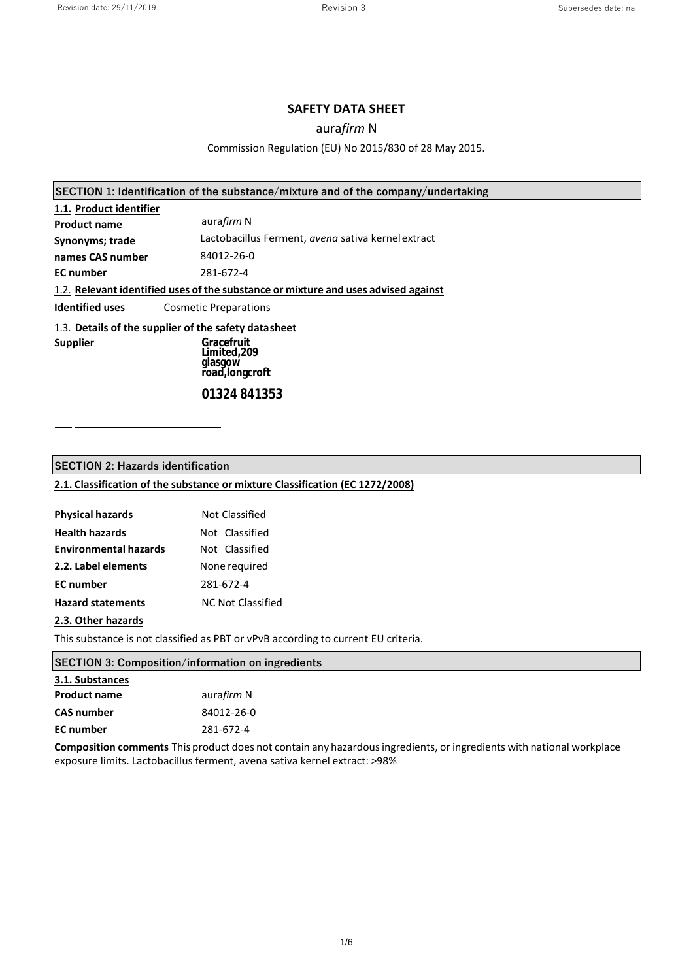#### **SAFETY DATA SHEET**

## aura*firm* N

#### Commission Regulation (EU) No 2015/830 of 28 May 2015.

| 1.1. Product identifier                              |                                                                                    |  |
|------------------------------------------------------|------------------------------------------------------------------------------------|--|
| <b>Product name</b>                                  | aurafirm N                                                                         |  |
| Synonyms; trade                                      | Lactobacillus Ferment, avena sativa kernel extract                                 |  |
| names CAS number                                     | 84012-26-0                                                                         |  |
| <b>EC</b> number                                     | 281-672-4                                                                          |  |
|                                                      | 1.2. Relevant identified uses of the substance or mixture and uses advised against |  |
| Identified uses                                      | <b>Cosmetic Preparations</b>                                                       |  |
| 1.3. Details of the supplier of the safety datasheet |                                                                                    |  |
| <b>Supplier</b>                                      | Gracefruit<br>Limited,209<br>glasgow<br>řoaď, longcroft                            |  |

*[01324 841353](mailto:info@oatcosmetics.com)*

## **SECTION 2: Hazards identification**

# **2.1. Classification of the substance or mixture Classification (EC 1272/2008)**

| <b>Physical hazards</b>      | <b>Not Classified</b>    |
|------------------------------|--------------------------|
| <b>Health hazards</b>        | Not Classified           |
| <b>Environmental hazards</b> | Not Classified           |
| 2.2. Label elements          | None required            |
| <b>EC</b> number             | 281-672-4                |
| <b>Hazard statements</b>     | <b>NC Not Classified</b> |
|                              |                          |

#### **2.3. Other hazards**

This substance is not classified as PBT or vPvB according to current EU criteria.

| <b>SECTION 3: Composition/information on ingredients</b>                                                             |            |
|----------------------------------------------------------------------------------------------------------------------|------------|
| 3.1. Substances                                                                                                      |            |
| <b>Product name</b>                                                                                                  | aurafirm N |
| <b>CAS number</b>                                                                                                    | 84012-26-0 |
| <b>EC</b> number                                                                                                     | 281-672-4  |
| Composition comments This product does not contain any hazardous ingredients, or ingredients with national workplace |            |

exposure limits. Lactobacillus ferment, avena sativa kernel extract: >98%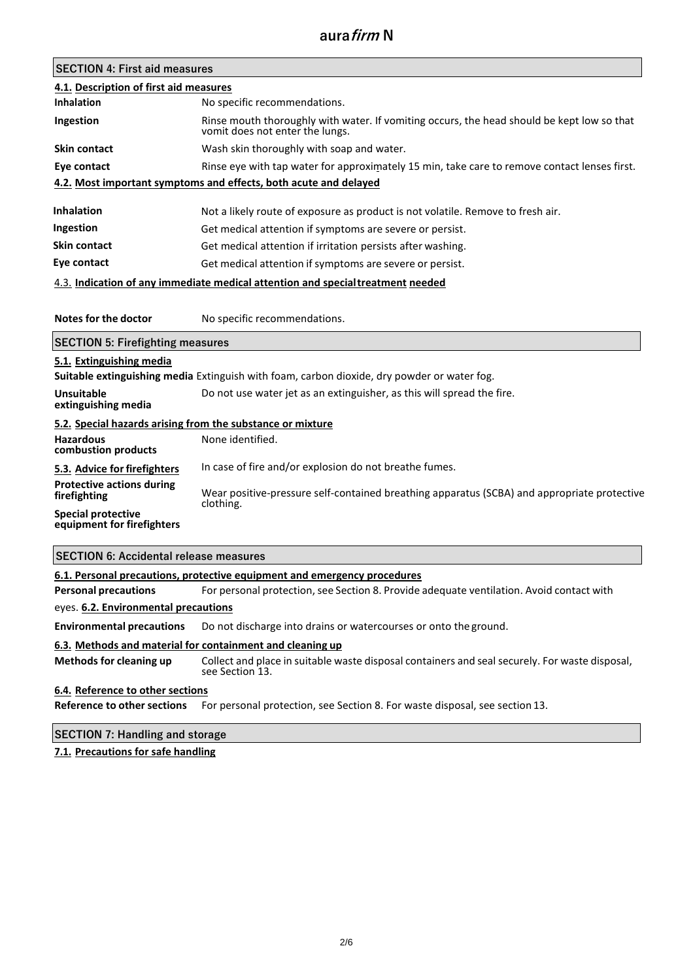| <b>SECTION 4: First aid measures</b>                    |                                                                                                                                                                                         |
|---------------------------------------------------------|-----------------------------------------------------------------------------------------------------------------------------------------------------------------------------------------|
| 4.1. Description of first aid measures                  |                                                                                                                                                                                         |
| Inhalation                                              | No specific recommendations.                                                                                                                                                            |
| Ingestion                                               | Rinse mouth thoroughly with water. If vomiting occurs, the head should be kept low so that<br>vomit does not enter the lungs.                                                           |
| <b>Skin contact</b>                                     | Wash skin thoroughly with soap and water.                                                                                                                                               |
| Eye contact                                             | Rinse eye with tap water for approximately 15 min, take care to remove contact lenses first.                                                                                            |
|                                                         | 4.2. Most important symptoms and effects, both acute and delayed                                                                                                                        |
| <b>Inhalation</b>                                       | Not a likely route of exposure as product is not volatile. Remove to fresh air.                                                                                                         |
| Ingestion                                               | Get medical attention if symptoms are severe or persist.                                                                                                                                |
| <b>Skin contact</b>                                     | Get medical attention if irritation persists after washing.                                                                                                                             |
| Eye contact                                             | Get medical attention if symptoms are severe or persist.                                                                                                                                |
|                                                         | 4.3. Indication of any immediate medical attention and special treatment needed                                                                                                         |
|                                                         |                                                                                                                                                                                         |
| Notes for the doctor                                    | No specific recommendations.                                                                                                                                                            |
| <b>SECTION 5: Firefighting measures</b>                 |                                                                                                                                                                                         |
| 5.1. Extinguishing media                                | Suitable extinguishing media Extinguish with foam, carbon dioxide, dry powder or water fog.                                                                                             |
| <b>Unsuitable</b><br>extinguishing media                | Do not use water jet as an extinguisher, as this will spread the fire.                                                                                                                  |
|                                                         |                                                                                                                                                                                         |
|                                                         | 5.2. Special hazards arising from the substance or mixture                                                                                                                              |
| <b>Hazardous</b><br>combustion products                 | None identified.                                                                                                                                                                        |
| 5.3. Advice for firefighters                            | In case of fire and/or explosion do not breathe fumes.                                                                                                                                  |
| <b>Protective actions during</b><br>firefighting        |                                                                                                                                                                                         |
| <b>Special protective</b><br>equipment for firefighters | clothing.                                                                                                                                                                               |
| <b>SECTION 6: Accidental release measures</b>           |                                                                                                                                                                                         |
|                                                         | 6.1. Personal precautions, protective equipment and emergency procedures                                                                                                                |
| <b>Personal precautions</b>                             | Wear positive-pressure self-contained breathing apparatus (SCBA) and appropriate protective<br>For personal protection, see Section 8. Provide adequate ventilation. Avoid contact with |

#### eyes. **6.2. Environmental precautions**

**Environmental precautions** Do not discharge into drains or watercourses or onto the ground.

#### **6.3. Methods and material for containment and cleaning up**

**Methods for cleaning up** Collect and place in suitable waste disposal containers and seal securely. For waste disposal, see Section 13.

#### **6.4. Reference to other sections**

**Reference to other sections** For personal protection, see Section 8. For waste disposal, see section 13.

# **SECTION 7: Handling and storage**

**7.1. Precautions for safe handling**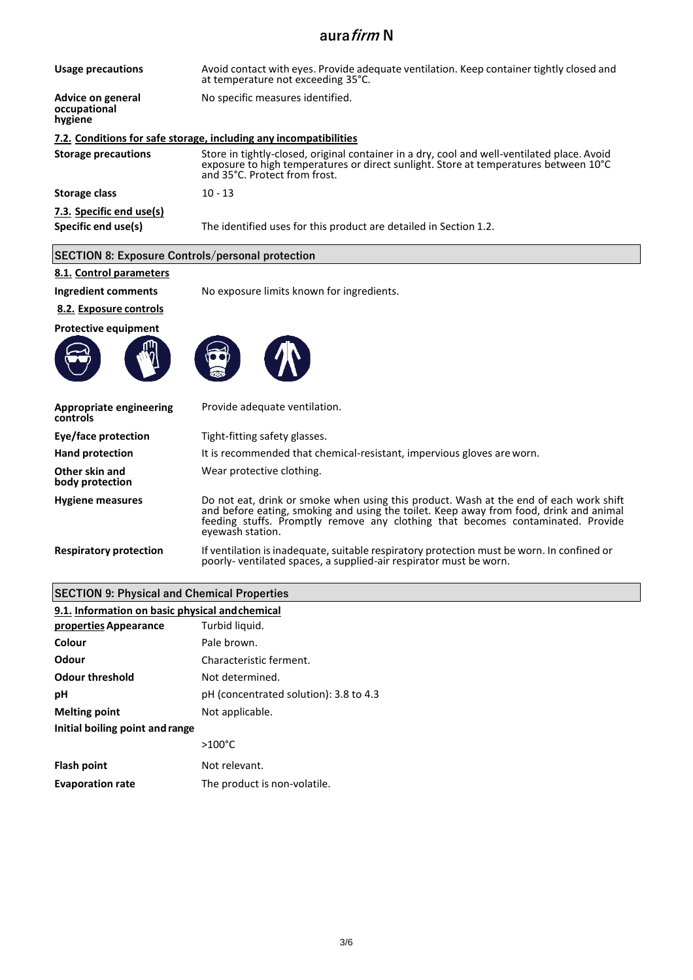| Usage precautions                               | Avoid contact with eyes. Provide adequate ventilation. Keep container tightly closed and<br>at temperature not exceeding 35°C.                                                                                       |
|-------------------------------------------------|----------------------------------------------------------------------------------------------------------------------------------------------------------------------------------------------------------------------|
| Advice on general<br>occupational<br>hygiene    | No specific measures identified.                                                                                                                                                                                     |
|                                                 | 7.2. Conditions for safe storage, including any incompatibilities                                                                                                                                                    |
| <b>Storage precautions</b>                      | Store in tightly-closed, original container in a dry, cool and well-ventilated place. Avoid<br>exposure to high temperatures or direct sunlight. Store at temperatures between 10°C<br>and 35°C. Protect from frost. |
| Storage class                                   | $10 - 13$                                                                                                                                                                                                            |
| 7.3. Specific end use(s)<br>Specific end use(s) | The identified uses for this product are detailed in Section 1.2.                                                                                                                                                    |

## **SECTION 8: Exposure Controls/personal protection**

# **8.1. Control parameters**

**Ingredient comments** No exposure limits known for ingredients.

## **8.2. Exposure controls**

**Protective equipment**





| <b>Appropriate engineering</b><br>controls | Provide adequate ventilation.                                                                                                                                                                                                                                                           |
|--------------------------------------------|-----------------------------------------------------------------------------------------------------------------------------------------------------------------------------------------------------------------------------------------------------------------------------------------|
| Eye/face protection                        | Tight-fitting safety glasses.                                                                                                                                                                                                                                                           |
| <b>Hand protection</b>                     | It is recommended that chemical-resistant, impervious gloves are worn.                                                                                                                                                                                                                  |
| Other skin and<br>body protection          | Wear protective clothing.                                                                                                                                                                                                                                                               |
| <b>Hygiene measures</b>                    | Do not eat, drink or smoke when using this product. Wash at the end of each work shift<br>and before eating, smoking and using the toilet. Keep away from food, drink and animal<br>feeding stuffs. Promptly remove any clothing that becomes contaminated. Provide<br>eyewash station. |
| <b>Respiratory protection</b>              | If ventilation is inadequate, suitable respiratory protection must be worn. In confined or<br>poorly- ventilated spaces, a supplied-air respirator must be worn.                                                                                                                        |

## **SECTION 9: Physical and Chemical Properties**

#### **9.1. Information on basic physical andchemical properties Appearance**  Turbid liquid.

| Colour                          | Pale brown.                            |
|---------------------------------|----------------------------------------|
| Odour                           | Characteristic ferment.                |
| <b>Odour threshold</b>          | Not determined.                        |
| рH                              | pH (concentrated solution): 3.8 to 4.3 |
| <b>Melting point</b>            | Not applicable.                        |
| Initial boiling point and range |                                        |
|                                 | $>100^{\circ}$ C                       |
| <b>Flash point</b>              | Not relevant.                          |
| <b>Evaporation rate</b>         | The product is non-volatile.           |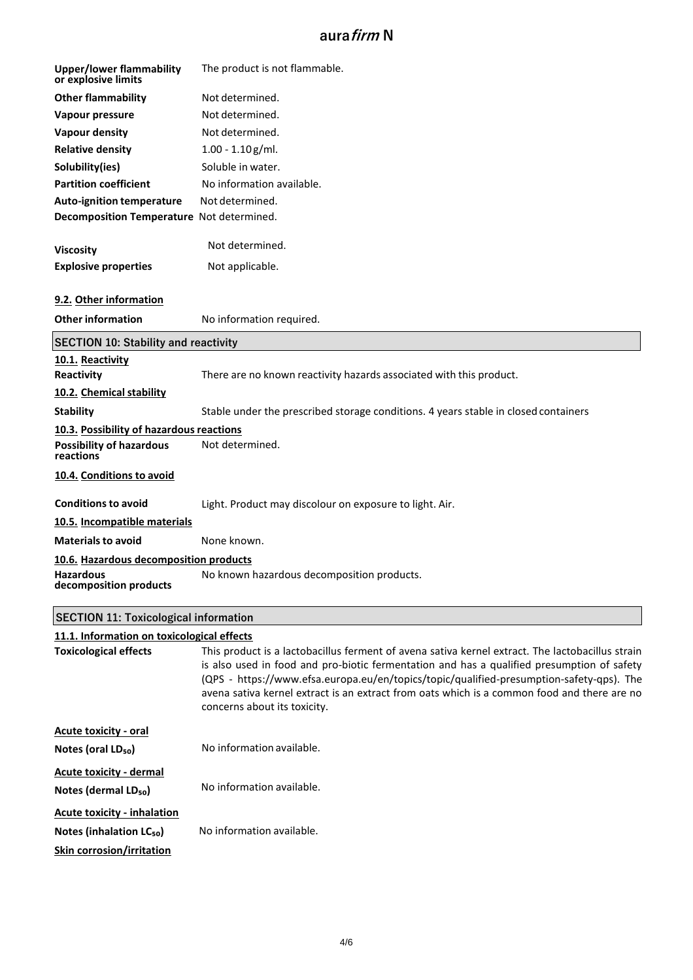| <b>Upper/lower flammability</b><br>or explosive limits                                                         | The product is not flammable.                                                                                                                                                                                                                                                                                                                                                                                             |
|----------------------------------------------------------------------------------------------------------------|---------------------------------------------------------------------------------------------------------------------------------------------------------------------------------------------------------------------------------------------------------------------------------------------------------------------------------------------------------------------------------------------------------------------------|
| <b>Other flammability</b>                                                                                      | Not determined.                                                                                                                                                                                                                                                                                                                                                                                                           |
| Vapour pressure                                                                                                | Not determined.                                                                                                                                                                                                                                                                                                                                                                                                           |
| <b>Vapour density</b>                                                                                          | Not determined.                                                                                                                                                                                                                                                                                                                                                                                                           |
| <b>Relative density</b>                                                                                        | $1.00 - 1.10$ g/ml.                                                                                                                                                                                                                                                                                                                                                                                                       |
| Solubility(ies)                                                                                                | Soluble in water.                                                                                                                                                                                                                                                                                                                                                                                                         |
| <b>Partition coefficient</b>                                                                                   | No information available.                                                                                                                                                                                                                                                                                                                                                                                                 |
| <b>Auto-ignition temperature</b>                                                                               | Not determined.                                                                                                                                                                                                                                                                                                                                                                                                           |
| Decomposition Temperature Not determined.                                                                      |                                                                                                                                                                                                                                                                                                                                                                                                                           |
| <b>Viscosity</b>                                                                                               | Not determined.                                                                                                                                                                                                                                                                                                                                                                                                           |
| <b>Explosive properties</b>                                                                                    | Not applicable.                                                                                                                                                                                                                                                                                                                                                                                                           |
| 9.2. Other information                                                                                         |                                                                                                                                                                                                                                                                                                                                                                                                                           |
| <b>Other information</b>                                                                                       | No information required.                                                                                                                                                                                                                                                                                                                                                                                                  |
| <b>SECTION 10: Stability and reactivity</b>                                                                    |                                                                                                                                                                                                                                                                                                                                                                                                                           |
| 10.1. Reactivity<br>Reactivity                                                                                 | There are no known reactivity hazards associated with this product.                                                                                                                                                                                                                                                                                                                                                       |
| 10.2. Chemical stability                                                                                       |                                                                                                                                                                                                                                                                                                                                                                                                                           |
| <b>Stability</b>                                                                                               | Stable under the prescribed storage conditions. 4 years stable in closed containers                                                                                                                                                                                                                                                                                                                                       |
| 10.3. Possibility of hazardous reactions                                                                       |                                                                                                                                                                                                                                                                                                                                                                                                                           |
| <b>Possibility of hazardous</b><br>reactions                                                                   | Not determined.                                                                                                                                                                                                                                                                                                                                                                                                           |
| 10.4. Conditions to avoid                                                                                      |                                                                                                                                                                                                                                                                                                                                                                                                                           |
| <b>Conditions to avoid</b>                                                                                     | Light. Product may discolour on exposure to light. Air.                                                                                                                                                                                                                                                                                                                                                                   |
| 10.5. Incompatible materials                                                                                   |                                                                                                                                                                                                                                                                                                                                                                                                                           |
| <b>Materials to avoid</b>                                                                                      | None known.                                                                                                                                                                                                                                                                                                                                                                                                               |
| 10.6. Hazardous decomposition products                                                                         |                                                                                                                                                                                                                                                                                                                                                                                                                           |
| Hazardous<br>decomposition products                                                                            | No known hazardous decomposition products.                                                                                                                                                                                                                                                                                                                                                                                |
| <b>SECTION 11: Toxicological information</b>                                                                   |                                                                                                                                                                                                                                                                                                                                                                                                                           |
| 11.1. Information on toxicological effects                                                                     |                                                                                                                                                                                                                                                                                                                                                                                                                           |
| <b>Toxicological effects</b>                                                                                   | This product is a lactobacillus ferment of avena sativa kernel extract. The lactobacillus strain<br>is also used in food and pro-biotic fermentation and has a qualified presumption of safety<br>(QPS - https://www.efsa.europa.eu/en/topics/topic/qualified-presumption-safety-qps). The<br>avena sativa kernel extract is an extract from oats which is a common food and there are no<br>concerns about its toxicity. |
| <b>Acute toxicity - oral</b>                                                                                   |                                                                                                                                                                                                                                                                                                                                                                                                                           |
| Notes (oral LD <sub>50</sub> )                                                                                 | No information available.                                                                                                                                                                                                                                                                                                                                                                                                 |
| <b>Acute toxicity - dermal</b><br>Notes (dermal LD <sub>50</sub> )                                             | No information available.                                                                                                                                                                                                                                                                                                                                                                                                 |
| <b>Acute toxicity - inhalation</b><br>Notes (inhalation LC <sub>50</sub> )<br><b>Skin corrosion/irritation</b> | No information available.                                                                                                                                                                                                                                                                                                                                                                                                 |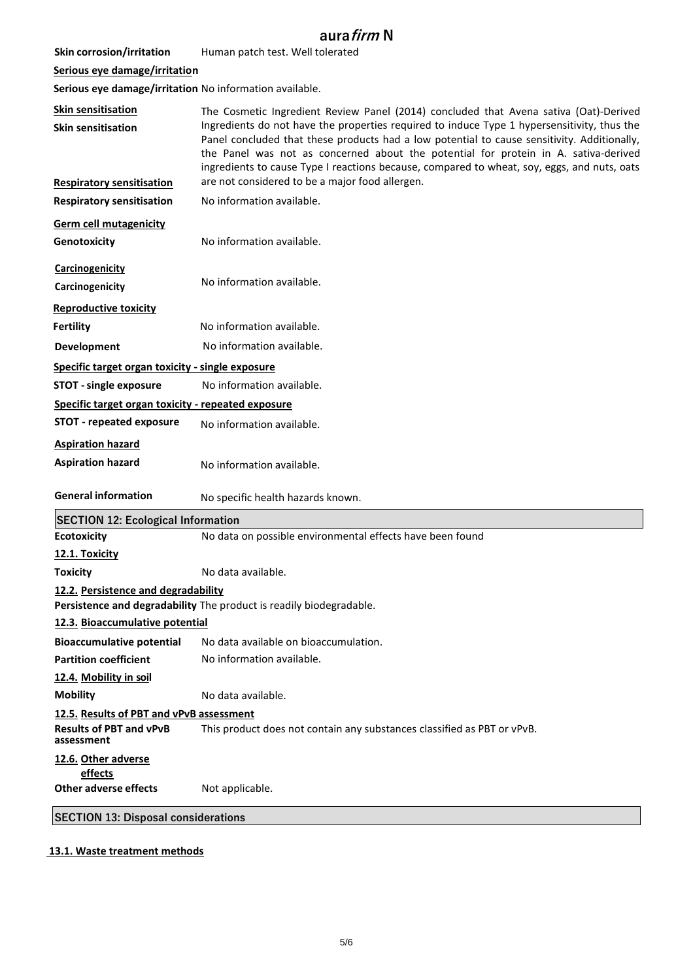| <b>Skin corrosion/irritation</b> | Human patch test. Well tolerated                                                                                                                                                                                                                                         |
|----------------------------------|--------------------------------------------------------------------------------------------------------------------------------------------------------------------------------------------------------------------------------------------------------------------------|
| Serious eye damage/irritation    |                                                                                                                                                                                                                                                                          |
|                                  | Serious eve damage/irritation No information available.                                                                                                                                                                                                                  |
| <b>Skin sensitisation</b>        | The Cosmetic Ingredient Review Par                                                                                                                                                                                                                                       |
| <b>Skin sensitisation</b>        | Ingredients do not have the propertion<br>Protect the contract of the contract of the contract of the contract of the contract of the contract of the contract of the contract of the contract of the contract of the contract of the contract of the contract of the co |

**Respiratory sensitisation** The Cosmetic Ingredient Avena Sativa (Oat)-Derived es required to induce Type 1 hypersensitivity, thus the Panel concluded that these products had a low potential to cause sensitivity. Additionally, the Panel was not as concerned about the potential for protein in A. sativa-derived ingredients to cause Type I reactions because, compared to wheat, soy, eggs, and nuts, oats are not considered to be a major food allergen.

**Respiratory sensitisation** No information available.

**Germ cell mutagenicity Genotoxicity** 

**Reproductive toxicity**

**Aspiration hazard**

**Ecotoxicity 12.1. Toxicity**

**Mobility**

**Carcinogenicity** No information available.

**Carcinogenicity**

**Fertility** No information available.

**Development** No information available.

**Specific target organ toxicity - single exposure**

**STOT - single exposure** No information available.

**Specific target organ toxicity - repeated exposure**

**STOT - repeated exposure** No information available.

**Aspiration hazard** No information available.

**General information** No specific health hazards known.

No information available.

No data on possible environmental effects have been found **SECTION 12: Ecological Information**

**Toxicity** No data available.

**12.2. Persistence and degradability**

**Persistence and degradability** The product is readily biodegradable.

**12.3. Bioaccumulative potential**

**Bioaccumulative potential**  No data available on bioaccumulation.

**Partition coefficient 12.4. Mobility in soil**  No information available.

No data available.

**12.5. Results of PBT and vPvB assessment**

**Results of PBT and vPvB assessment** This product does not contain any substances classified as PBT or vPvB.

**12.6. Other adverse** 

**effects Other adverse effects** Not applicable.

**SECTION 13: Disposal considerations**

## **13.1. Waste treatment methods**